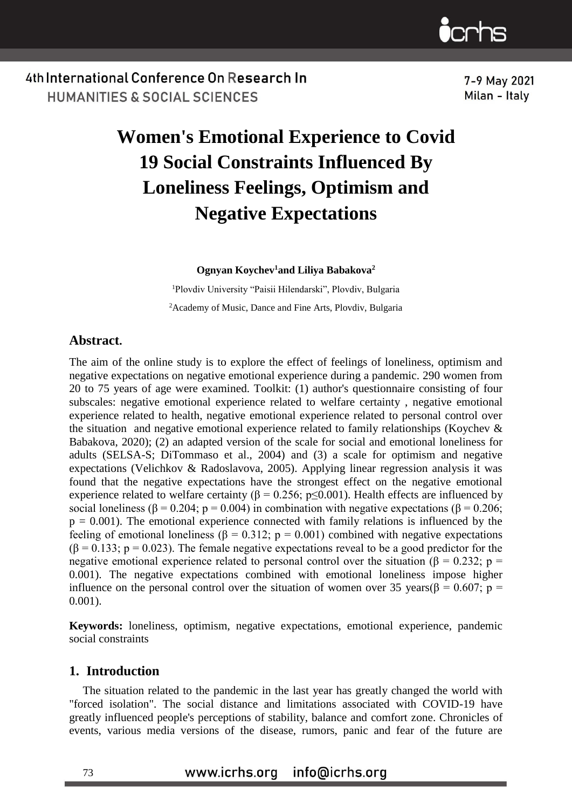

7-9 May 2021 Milan - Italy

# **Women's Emotional Experience to Covid 19 Social Constraints Influenced By Loneliness Feelings, Optimism and Negative Expectations**

**Ognyan Koychev<sup>1</sup>and Liliya Babakova<sup>2</sup>**

<sup>1</sup>Plovdiv University "Paisii Hilendarski", Plovdiv, Bulgaria <sup>2</sup>Academy of Music, Dance and Fine Arts, Plovdiv, Bulgaria

## **Abstract.**

The aim of the online study is to explore the effect of feelings of loneliness, optimism and negative expectations on negative emotional experience during a pandemic. 290 women from 20 to 75 years of age were examined. Toolkit: (1) author's questionnaire consisting of four subscales: negative emotional experience related to welfare certainty , negative emotional experience related to health, negative emotional experience related to personal control over the situation and negative emotional experience related to family relationships (Koychev & Babakova, 2020); (2) an adapted version of the scale for social and emotional loneliness for adults (SELSA-S; DiTommaso et al., 2004) and (3) a scale for optimism and negative expectations (Velichkov & Radoslavova, 2005). Applying linear regression analysis it was found that the negative expectations have the strongest effect on the negative emotional experience related to welfare certainty ( $\beta = 0.256$ ; p $\leq 0.001$ ). Health effects are influenced by social loneliness ( $\beta$  = 0.204; p = 0.004) in combination with negative expectations ( $\beta$  = 0.206;  $p = 0.001$ ). The emotional experience connected with family relations is influenced by the feeling of emotional loneliness (β = 0.312; p = 0.001) combined with negative expectations  $(\beta = 0.133; p = 0.023)$ . The female negative expectations reveal to be a good predictor for the negative emotional experience related to personal control over the situation ( $\beta = 0.232$ ; p = 0.001). Тhe negative expectations combined with emotional loneliness impose higher influence on the personal control over the situation of women over 35 years( $\beta$  = 0.607; p = 0.001).

**Keywords:** loneliness, optimism, negative expectations, emotional experience, pandemic social constraints

#### **1. Introduction**

The situation related to the pandemic in the last year has greatly changed the world with "forced isolation". The social distance and limitations associated with COVID-19 have greatly influenced people's perceptions of stability, balance and comfort zone. Chronicles of events, various media versions of the disease, rumors, panic and fear of the future are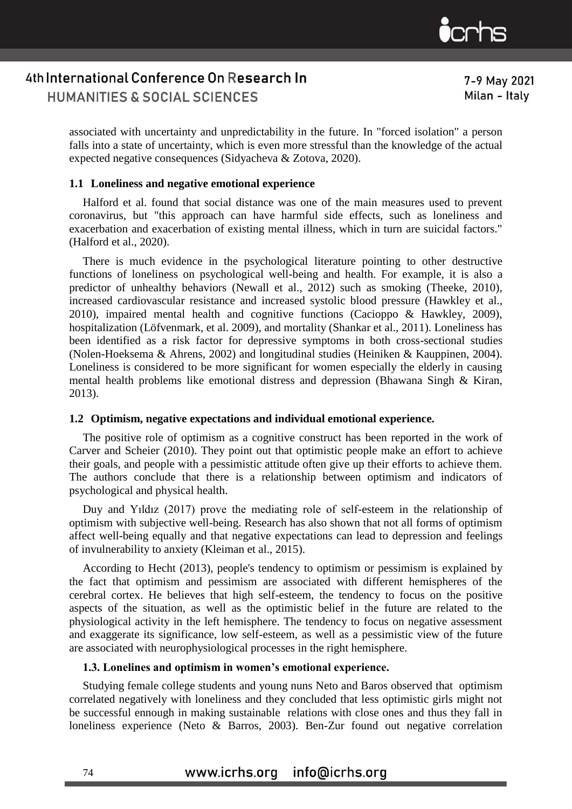

7-9 May 2021 Milan - Italy

associated with uncertainty and unpredictability in the future. In "forced isolation" a person falls into a state of uncertainty, which is even more stressful than the knowledge of the actual expected negative consequences (Sidyacheva & Zotova, 2020).

#### **1.1 Loneliness and negative emotional experience**

Halford et al. found that social distance was one of the main measures used to prevent coronavirus, but "this approach can have harmful side effects, such as loneliness and exacerbation and exacerbation of existing mental illness, which in turn are suicidal factors." (Halford et al., 2020).

There is much evidence in the psychological literature pointing to other destructive functions of loneliness on psychological well-being and health. For example, it is also a predictor of unhealthy behaviors (Newall et al., 2012) such as smoking (Theeke, 2010), increased cardiovascular resistance and increased systolic blood pressure (Hawkley et al., 2010), impaired mental health and cognitive functions (Cacioppo & Hawkley, 2009), hospitalization (Löfvenmark, et al. 2009), and mortality (Shankar et al., 2011). Loneliness has been identified as a risk factor for depressive symptoms in both cross-sectional studies (Nolen-Hoeksema & Ahrens, 2002) and longitudinal studies (Heiniken & Kauppinen, 2004). Loneliness is considered to be more significant for women especially the elderly in causing mental health problems like emotional distress and depression (Bhawana Singh & Kiran, 2013).

#### **1.2 Optimism, negative expectations and individual emotional experience.**

The positive role of optimism as a cognitive construct has been reported in the work of Carver and Scheier (2010). They point out that optimistic people make an effort to achieve their goals, and people with a pessimistic attitude often give up their efforts to achieve them. The authors conclude that there is a relationship between optimism and indicators of psychological and physical health.

Duy and Yıldız (2017) prove the mediating role of self-esteem in the relationship of optimism with subjective well-being. Research has also shown that not all forms of optimism affect well-being equally and that negative expectations can lead to depression and feelings of invulnerability to anxiety (Kleiman et al., 2015).

According to Hecht (2013), people's tendency to optimism or pessimism is explained by the fact that optimism and pessimism are associated with different hemispheres of the cerebral cortex. He believes that high self-esteem, the tendency to focus on the positive aspects of the situation, as well as the optimistic belief in the future are related to the physiological activity in the left hemisphere. The tendency to focus on negative assessment and exaggerate its significance, low self-esteem, as well as a pessimistic view of the future are associated with neurophysiological processes in the right hemisphere.

## **1.3. Lonelines and optimism in women's emotional experience.**

Studying female college students and young nuns Neto and Baros observed that optimism correlated negatively with loneliness and they concluded that less optimistic girls might not be successful ennough in making sustainable relations with close ones and thus they fall in loneliness experience (Neto & Barros, 2003). Ben-Zur found out negative correlation

#### www.icrhs.org info@icrhs.org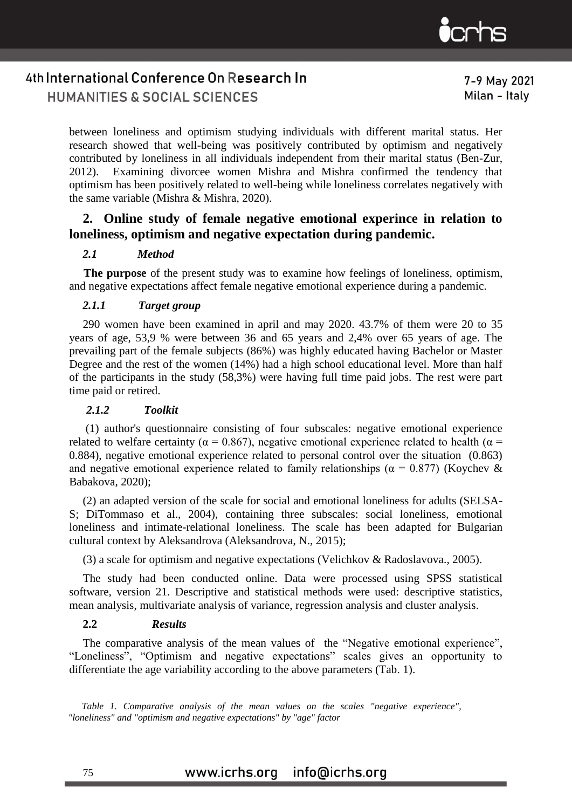

7-9 May 2021 Milan - Italy

between loneliness and optimism studying individuals with different marital status. Her research showed that well-being was positively contributed by optimism and negatively contributed by loneliness in all individuals independent from their marital status (Ben-Zur, 2012). Examining divorcee women Mishra and Mishra confirmed the tendency that optimism has been positively related to well-being while loneliness correlates negatively with the same variable (Mishra & Mishra, 2020).

# **2. Online study of female negative emotional experince in relation to loneliness, optimism and negative expectation during pandemic.**

# *2.1 Method*

 **The purpose** of the present study was to examine how feelings of loneliness, optimism, and negative expectations affect female negative emotional experience during a pandemic.

## *2.1.1 Target group*

290 women have been examined in april and may 2020. 43.7% of them were 20 to 35 years of age, 53,9 % were between 36 and 65 years and 2,4% over 65 years of age. The prevailing part of the female subjects (86%) was highly educated having Bachelor or Master Degree and the rest of the women (14%) had a high school educational level. More than half of the participants in the study (58,3%) were having full time paid jobs. The rest were part time paid or retired.

## *2.1.2 Toolkit*

(1) author's questionnaire consisting of four subscales: negative emotional experience related to welfare certainty ( $\alpha = 0.867$ ), negative emotional experience related to health ( $\alpha =$ 0.884), negative emotional experience related to personal control over the situation (0.863) and negative emotional experience related to family relationships ( $\alpha = 0.877$ ) (Koychev & Babakova, 2020);

(2) an adapted version of the scale for social and emotional loneliness for adults (SELSA-S; DiTommaso et al., 2004), containing three subscales: social loneliness, emotional loneliness and intimate-relational loneliness. The scale has been adapted for Bulgarian cultural context by Aleksandrova (Aleksandrova, N., 2015);

(3) a scale for optimism and negative expectations (Velichkov & Radoslavova., 2005).

The study had been conducted online. Data were processed using SPSS statistical software, version 21. Descriptive and statistical methods were used: descriptive statistics, mean analysis, multivariate analysis of variance, regression analysis and cluster analysis.

## **2.2** *Results*

The comparative analysis of the mean values of the "Negative emotional experience", "Loneliness", "Optimism and negative expectations" scales gives an opportunity to differentiate the age variability according to the above parameters (Tab. 1).

*Table 1. Comparative analysis of the mean values on the scales "negative experience", "loneliness" and "optimism and negative expectations" by "age" factor*

#### www.icrhs.org info@icrhs.org

75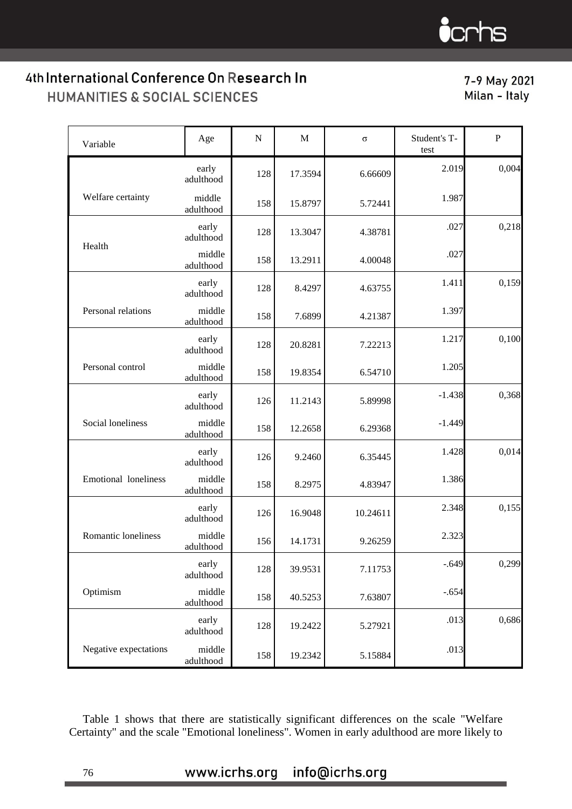# $\bullet$  crhs

# 4th International Conference On Research In HUMANITIES & SOCIAL SCIENCES

7-9 May 2021 Milan - Italy

| Variable              | Age                 | $\mathbf N$ | M       | $\sigma$ | Student's T-<br>test | $\mathbf{P}$ |
|-----------------------|---------------------|-------------|---------|----------|----------------------|--------------|
|                       | early<br>adulthood  | 128         | 17.3594 | 6.66609  | 2.019                | 0,004        |
| Welfare certainty     | middle<br>adulthood | 158         | 15.8797 | 5.72441  | 1.987                |              |
| Health                | early<br>adulthood  | 128         | 13.3047 | 4.38781  | .027                 | 0,218        |
|                       | middle<br>adulthood | 158         | 13.2911 | 4.00048  | .027                 |              |
|                       | early<br>adulthood  | 128         | 8.4297  | 4.63755  | 1.411                | 0,159        |
| Personal relations    | middle<br>adulthood | 158         | 7.6899  | 4.21387  | 1.397                |              |
|                       | early<br>adulthood  | 128         | 20.8281 | 7.22213  | 1.217                | 0,100        |
| Personal control      | middle<br>adulthood | 158         | 19.8354 | 6.54710  | 1.205                |              |
|                       | early<br>adulthood  | 126         | 11.2143 | 5.89998  | $-1.438$             | 0,368        |
| Social loneliness     | middle<br>adulthood | 158         | 12.2658 | 6.29368  | $-1.449$             |              |
|                       | early<br>adulthood  | 126         | 9.2460  | 6.35445  | 1.428                | 0,014        |
| Emotional loneliness  | middle<br>adulthood | 158         | 8.2975  | 4.83947  | 1.386                |              |
|                       | early<br>adulthood  | 126         | 16.9048 | 10.24611 | 2.348                | 0,155        |
| Romantic loneliness   | middle<br>adulthood | 156         | 14.1731 | 9.26259  | 2.323                |              |
|                       | early<br>adulthood  | 128         | 39.9531 | 7.11753  | $-.649$              | 0,299        |
| Optimism              | middle<br>adulthood | 158         | 40.5253 | 7.63807  | $-.654$              |              |
|                       | early<br>adulthood  | 128         | 19.2422 | 5.27921  | .013                 | 0,686        |
| Negative expectations | middle<br>adulthood | 158         | 19.2342 | 5.15884  | .013                 |              |

Table 1 shows that there are statistically significant differences on the scale "Welfare Certainty" and the scale "Emotional loneliness". Women in early adulthood are more likely to

# www.icrhs.org info@icrhs.org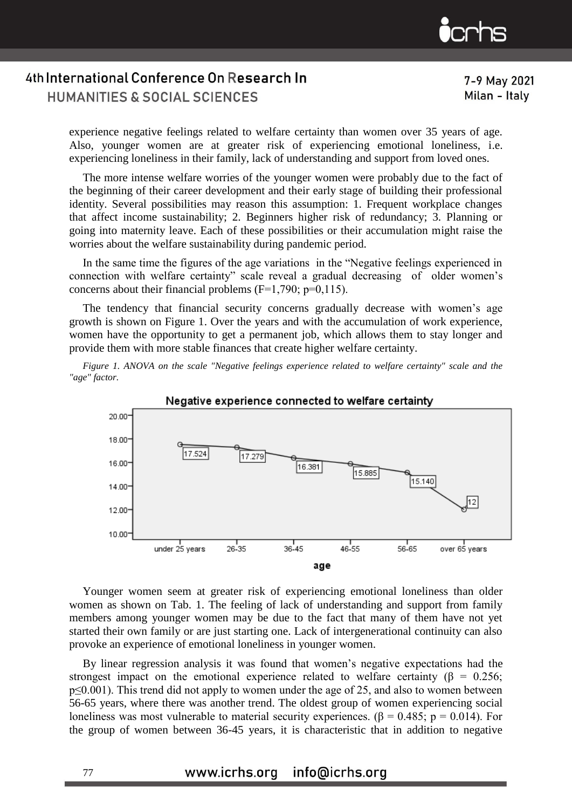

experience negative feelings related to welfare certainty than women over 35 years of age. Also, younger women are at greater risk of experiencing emotional loneliness, i.e. experiencing loneliness in their family, lack of understanding and support from loved ones.

The more intense welfare worries of the younger women were probably due to the fact of the beginning of their career development and their early stage of building their professional identity. Several possibilities may reason this assumption: 1. Frequent workplace changes that affect income sustainability; 2. Beginners higher risk of redundancy; 3. Planning or going into maternity leave. Each of these possibilities or their accumulation might raise the worries about the welfare sustainability during pandemic period.

In the same time the figures of the age variations in the "Negative feelings experienced in connection with welfare certainty" scale reveal a gradual decreasing of older women's concerns about their financial problems  $(F=1,790; p=0,115)$ .

The tendency that financial security concerns gradually decrease with women's age growth is shown on Figure 1. Over the years and with the accumulation of work experience, women have the opportunity to get a permanent job, which allows them to stay longer and provide them with more stable finances that create higher welfare certainty.

*Figure 1. ANOVA on the scale "Negative feelings experience related to welfare certainty" scale and the "age" factor.*



Negative experience connected to welfare certainty

Younger women seem at greater risk of experiencing emotional loneliness than older women as shown on Tab. 1. The feeling of lack of understanding and support from family members among younger women may be due to the fact that many of them have not yet started their own family or are just starting one. Lack of intergenerational continuity can also provoke an experience of emotional loneliness in younger women.

By linear regression analysis it was found that women's negative expectations had the strongest impact on the emotional experience related to welfare certainty ( $\beta = 0.256$ ; p≤0.001). This trend did not apply to women under the age of 25, and also to women between 56-65 years, where there was another trend. The oldest group of women experiencing social loneliness was most vulnerable to material security experiences. (β = 0.485; p = 0.014). For the group of women between 36-45 years, it is characteristic that in addition to negative

#### www.icrhs.org info@icrhs.org

77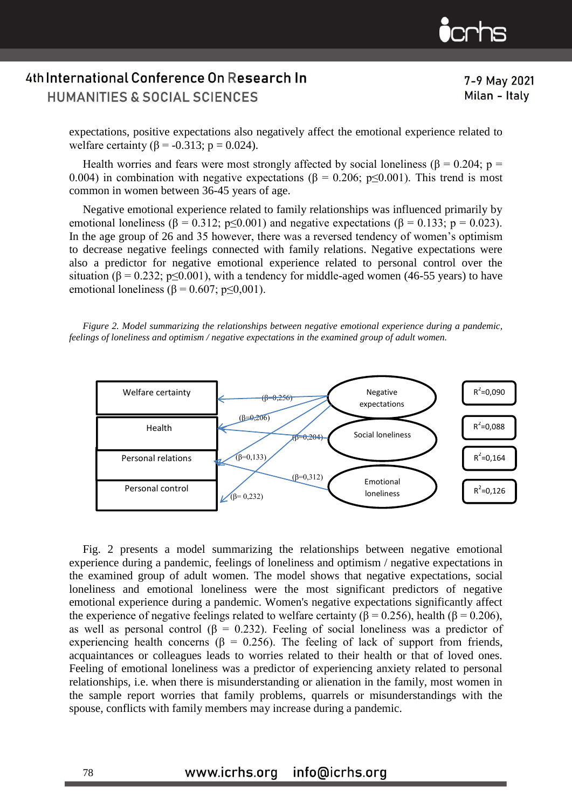

7-9 May 2021 Milan - Italy

expectations, positive expectations also negatively affect the emotional experience related to welfare certainty (β = -0.313; p = 0.024).

Health worries and fears were most strongly affected by social loneliness ( $\beta = 0.204$ ; p = 0.004) in combination with negative expectations ( $\beta = 0.206$ ; p $\leq 0.001$ ). This trend is most common in women between 36-45 years of age.

Negative emotional experience related to family relationships was influenced primarily by emotional loneliness (β = 0.312; p 
subseteq 0.001) and negative expectations (β = 0.133; p = 0.023). In the age group of 26 and 35 however, there was a reversed tendency of women's optimism to decrease negative feelings connected with family relations. Negative expectations were also a predictor for negative emotional experience related to personal control over the situation ( $\beta = 0.232$ ; p≤0.001), with a tendency for middle-aged women (46-55 years) to have emotional loneliness ( $\beta$  = 0.607; p $\leq$ 0,001).

*Figure 2. Model summarizing the relationships between negative emotional experience during a pandemic, feelings of loneliness and optimism / negative expectations in the examined group of adult women.*



Fig. 2 presents a model summarizing the relationships between negative emotional experience during a pandemic, feelings of loneliness and optimism / negative expectations in the examined group of adult women. The model shows that negative expectations, social loneliness and emotional loneliness were the most significant predictors of negative emotional experience during a pandemic. Women's negative expectations significantly affect the experience of negative feelings related to welfare certainty ( $\beta$  = 0.256), health ( $\beta$  = 0.206), as well as personal control ( $\beta$  = 0.232). Feeling of social loneliness was a predictor of experiencing health concerns ( $\beta = 0.256$ ). The feeling of lack of support from friends, acquaintances or colleagues leads to worries related to their health or that of loved ones. Feeling of emotional loneliness was a predictor of experiencing anxiety related to personal relationships, i.e. when there is misunderstanding or alienation in the family, most women in the sample report worries that family problems, quarrels or misunderstandings with the spouse, conflicts with family members may increase during a pandemic.

#### www.icrhs.org info@icrhs.org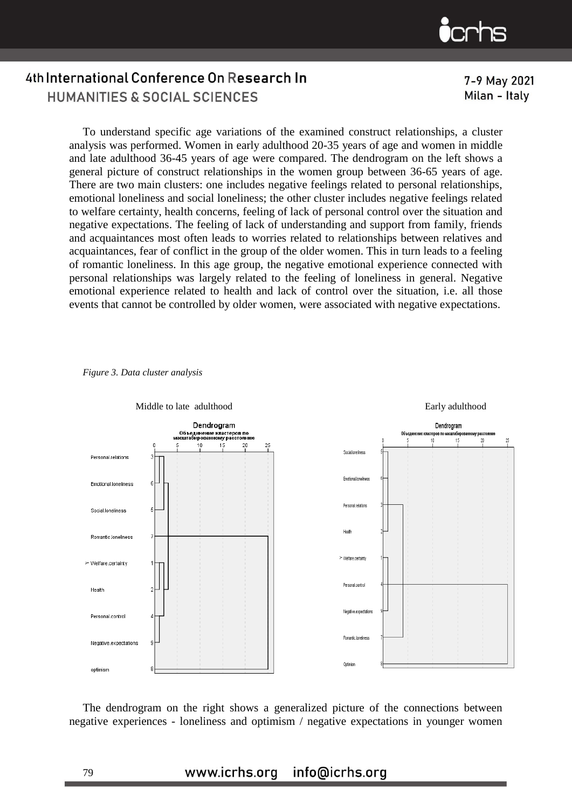

7-9 May 2021 Milan - Italy

To understand specific age variations of the examined construct relationships, a cluster analysis was performed. Women in early adulthood 20-35 years of age and women in middle and late adulthood 36-45 years of age were compared. The dendrogram on the left shows a general picture of construct relationships in the women group between 36-65 years of age. There are two main clusters: one includes negative feelings related to personal relationships, emotional loneliness and social loneliness; the other cluster includes negative feelings related to welfare certainty, health concerns, feeling of lack of personal control over the situation and negative expectations. The feeling of lack of understanding and support from family, friends and acquaintances most often leads to worries related to relationships between relatives and acquaintances, fear of conflict in the group of the older women. This in turn leads to a feeling of romantic loneliness. In this age group, the negative emotional experience connected with personal relationships was largely related to the feeling of loneliness in general. Negative emotional experience related to health and lack of control over the situation, i.e. all those events that cannot be controlled by older women, were associated with negative expectations.



*Figure 3. Data cluster analysis* 

The dendrogram on the right shows a generalized picture of the connections between negative experiences - loneliness and optimism / negative expectations in younger women

#### www.icrhs.org info@icrhs.org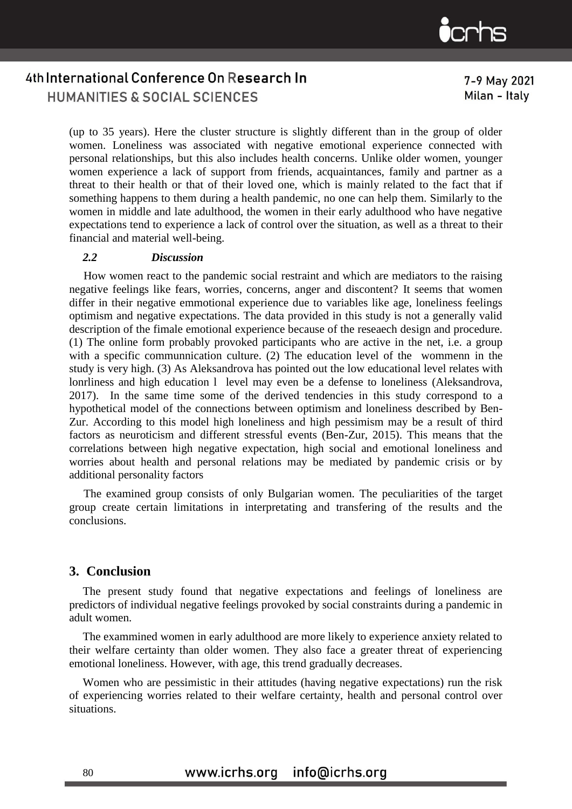

7-9 May 2021 Milan - Italy

(up to 35 years). Here the cluster structure is slightly different than in the group of older women. Loneliness was associated with negative emotional experience connected with personal relationships, but this also includes health concerns. Unlike older women, younger women experience a lack of support from friends, acquaintances, family and partner as a threat to their health or that of their loved one, which is mainly related to the fact that if something happens to them during a health pandemic, no one can help them. Similarly to the women in middle and late adulthood, the women in their early adulthood who have negative expectations tend to experience a lack of control over the situation, as well as a threat to their financial and material well-being.

#### *2.2 Discussion*

 How women react to the pandemic social restraint and which are mediators to the raising negative feelings like fears, worries, concerns, anger and discontent? It seems that women differ in their negative emmotional experience due to variables like age, loneliness feelings optimism and negative expectations. The data provided in this study is not a generally valid description of the fimale emotional experience because of the reseaech design and procedure. (1) The online form probably provoked participants who are active in the net, i.e. a group with a specific communnication culture. (2) The education level of the wommenn in the study is very high. (3) As Aleksandrova has pointed out the low educational level relates with lonrliness and high education 1 level may even be a defense to loneliness (Aleksandrova, 2017). In the same time some of the derived tendencies in this study correspond to a hypothetical model of the connections between optimism and loneliness described by Ben-Zur. According to this model high loneliness and high pessimism may be a result of third factors as neuroticism and different stressful events (Ben-Zur, 2015). This means that the correlations between high negative expectation, high social and emotional loneliness and worries about health and personal relations may be mediated by pandemic crisis or by additional personality factors

 The examined group consists of only Bulgarian women. The peculiarities of the target group create certain limitations in interpretating and transfering of the results and the conclusions.

## **3. Conclusion**

The present study found that negative expectations and feelings of loneliness are predictors of individual negative feelings provoked by social constraints during a pandemic in adult women.

The exammined women in early adulthood are more likely to experience anxiety related to their welfare certainty than older women. They also face a greater threat of experiencing emotional loneliness. However, with age, this trend gradually decreases.

Women who are pessimistic in their attitudes (having negative expectations) run the risk of experiencing worries related to their welfare certainty, health and personal control over situations.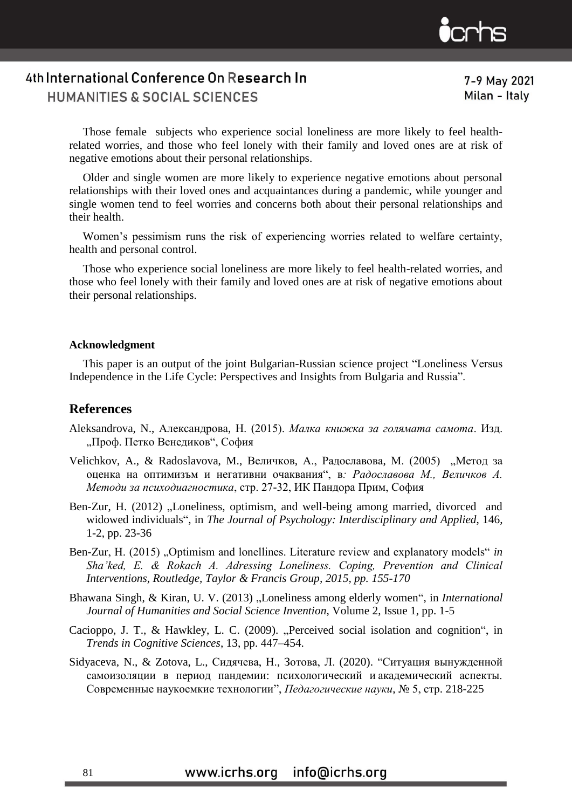

7-9 May 2021 Milan - Italy

Those female subjects who experience social loneliness are more likely to feel healthrelated worries, and those who feel lonely with their family and loved ones are at risk of negative emotions about their personal relationships.

Older and single women are more likely to experience negative emotions about personal relationships with their loved ones and acquaintances during a pandemic, while younger and single women tend to feel worries and concerns both about their personal relationships and their health.

Women's pessimism runs the risk of experiencing worries related to welfare certainty, health and personal control.

Those who experience social loneliness are more likely to feel health-related worries, and those who feel lonely with their family and loved ones are at risk of negative emotions about their personal relationships.

#### **Acknowledgment**

This paper is an output of the joint Bulgarian-Russian science project "Loneliness Versus Independence in the Life Cycle: Perspectives and Insights from Bulgaria and Russia".

## **References**

- Aleksandrova, N., Александрова, Н. (2015). *Малка книжка за голямата самота*. Изд. "Проф. Петко Венедиков", София
- Velichkov, A., & Radoslavova, М., Величков, А., Радославова, М. (2005) "Метод за оценка на оптимизъм и негативни очаквания", в*: Радославова М., Величков А. Методи за психодиагностика*, стр. 27-32, ИК Пандора Прим, София
- Ben-Zur, H. (2012) "Loneliness, optimism, and well-being among married, divorced and widowed individuals", in *The Journal of Psychology: Interdisciplinary and Applied*, 146, 1-2, pp. 23-36
- Ben-Zur, H. (2015) "Optimism and lonellines. Literature review and explanatory models" *in Sha'ked, E. & Rokach A. Adressing Loneliness. Coping, Prevention and Clinical Interventions, Routledge, Taylor & Francis Group, 2015, pp. 155-170*
- Bhawana Singh, & Kiran, U. V. (2013) "Loneliness among elderly women", in *International Journal of Humanities and Social Science Invention*, Volume 2, Issue 1, pp. 1-5
- Cacioppo, J. T., & Hawkley, L. C. (2009). "Perceived social isolation and cognition", in *Trends in Cognitive Sciences*, 13, pp. 447–454.
- Sidyaceva, N., & Zotova, L., Сидячева, Н., Зотова, Л. (2020). "Ситуация вынужденной самоизоляции в период пандемии: психологический и академический аспекты. Современные наукоемкие технологии", *Педагогические науки*, № 5, стр. 218-225